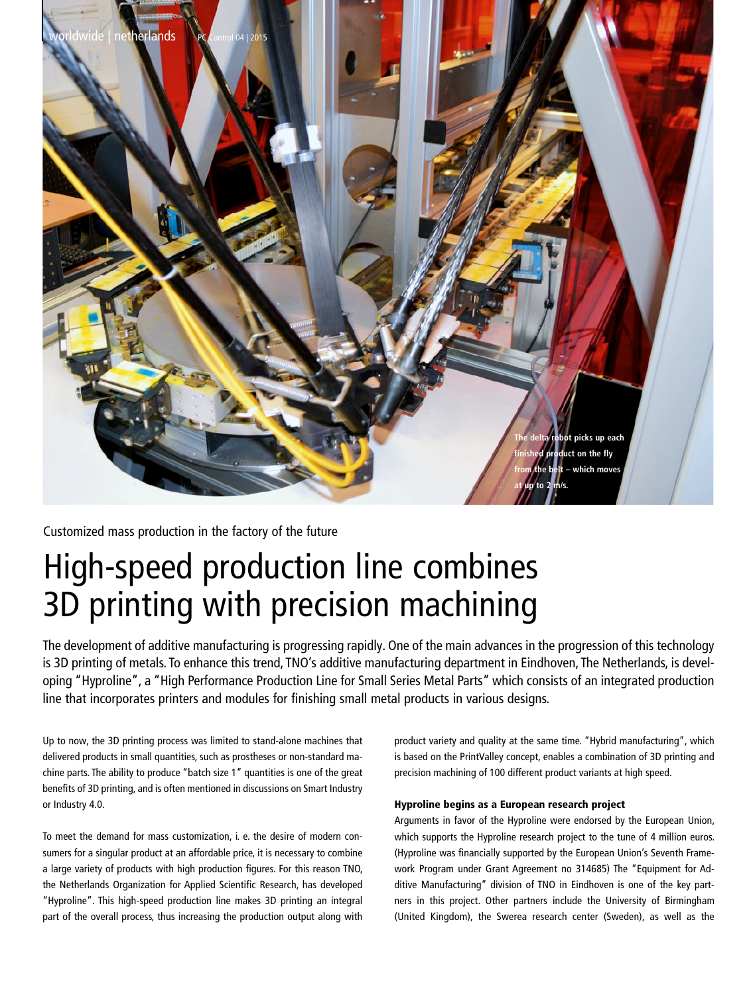

Customized mass production in the factory of the future

# High-speed production line combines 3D printing with precision machining

The development of additive manufacturing is progressing rapidly. One of the main advances in the progression of this technology is 3D printing of metals. To enhance this trend, TNO's additive manufacturing department in Eindhoven, The Netherlands, is developing "Hyproline", a "High Performance Production Line for Small Series Metal Parts" which consists of an integrated production line that incorporates printers and modules for finishing small metal products in various designs.

Up to now, the 3D printing process was limited to stand-alone machines that delivered products in small quantities, such as prostheses or non-standard machine parts. The ability to produce "batch size 1" quantities is one of the great benefits of 3D printing, and is often mentioned in discussions on Smart Industry or Industry 4.0.

To meet the demand for mass customization, i. e. the desire of modern consumers for a singular product at an affordable price, it is necessary to combine a large variety of products with high production figures. For this reason TNO, the Netherlands Organization for Applied Scientific Research, has developed "Hyproline". This high-speed production line makes 3D printing an integral part of the overall process, thus increasing the production output along with product variety and quality at the same time. "Hybrid manufacturing", which is based on the PrintValley concept, enables a combination of 3D printing and precision machining of 100 different product variants at high speed.

# Hyproline begins as a European research project

Arguments in favor of the Hyproline were endorsed by the European Union, which supports the Hyproline research project to the tune of 4 million euros. (Hyproline was financially supported by the European Union's Seventh Framework Program under Grant Agreement no 314685) The "Equipment for Additive Manufacturing" division of TNO in Eindhoven is one of the key partners in this project. Other partners include the University of Birmingham (United Kingdom), the Swerea research center (Sweden), as well as the